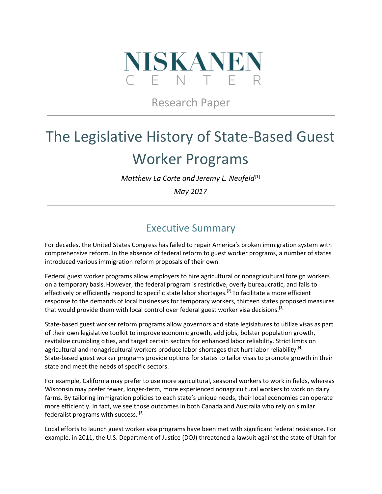

# Research Paper

# The Legislative History of State-Based Guest Worker Programs

*Matthew La Corte and Jeremy L. Neufeld* [1]

*May 2017*

### Executive Summary

For decades, the United States Congress has failed to repair America's broken immigration system with comprehensive reform. In the absence of federal reform to guest worker programs, a number of states introduced various immigration reform proposals of their own.

Federal guest worker programs allow employers to hire agricultural or nonagricultural foreign workers on a temporary basis.However, the federal program is restrictive, overly bureaucratic, and fails to effectively or efficiently respond to specific state labor shortages.<sup>[2]</sup> To facilitate a more efficient response to the demands of local businesses for temporary workers, thirteen states proposed measures that would provide them with local control over federal guest worker visa decisions.<sup>[3]</sup>

State-based guest worker reform programs allow governors and state legislatures to utilize visas as part of their own legislative toolkit to improve economic growth, add jobs, bolster population growth, revitalize crumbling cities, and target certain sectors for enhanced labor reliability. Strict limits on agricultural and nonagricultural workers produce labor shortages that hurt labor reliability.<sup>[4]</sup> State-based guest worker programs provide options for states to tailor visas to promote growth in their state and meet the needs of specific sectors.

For example, California may prefer to use more agricultural, seasonal workers to work in fields, whereas Wisconsin may prefer fewer, longer-term, more experienced nonagricultural workers to work on dairy farms. By tailoring immigration policies to each state's unique needs, their local economies can operate more efficiently. In fact, we see those outcomes in both Canada and Australia who rely on similar federalist programs with success. <sup>[5]</sup>

Local efforts to launch guest worker visa programs have been met with significant federal resistance. For example, in 2011, the U.S. Department of Justice (DOJ) threatened a lawsuit against the state of Utah for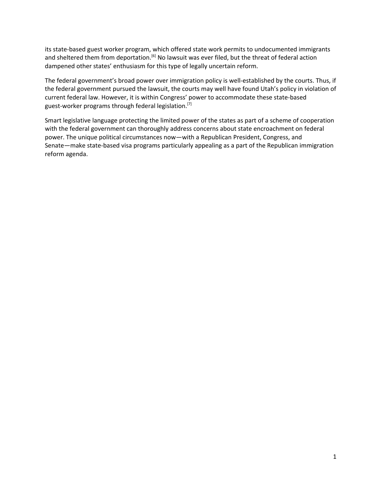its state-based guest worker program, which offered state work permits to undocumented immigrants and sheltered them from deportation.<sup>[6]</sup> No lawsuit was ever filed, but the threat of federal action dampened other states' enthusiasm for this type of legally uncertain reform.

The federal government's broad power over immigration policy is well-established by the courts. Thus, if the federal government pursued the lawsuit, the courts may well have found Utah's policy in violation of current federal law. However, it is within Congress' power to accommodate these state-based guest-worker programs through federal legislation.<sup>[7]</sup>

Smart legislative language protecting the limited power of the states as part of a scheme of cooperation with the federal government can thoroughly address concerns about state encroachment on federal power. The unique political circumstances now—with a Republican President, Congress, and Senate—make state-based visa programs particularly appealing as a part of the Republican immigration reform agenda.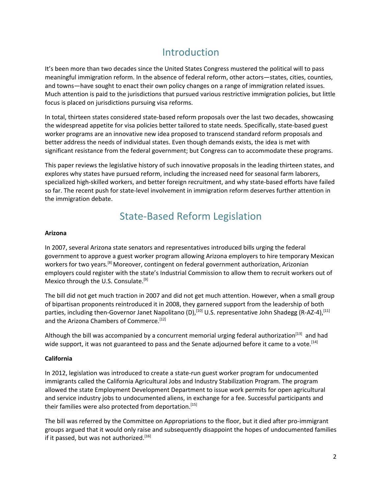# Introduction

It's been more than two decades since the United States Congress mustered the political will to pass meaningful immigration reform. In the absence of federal reform, other actors—states, cities, counties, and towns—have sought to enact their own policy changes on a range of immigration related issues. Much attention is paid to the jurisdictions that pursued various restrictive immigration policies, but little focus is placed on jurisdictions pursuing visa reforms.

In total, thirteen states considered state-based reform proposals over the last two decades, showcasing the widespread appetite for visa policies better tailored to state needs. Specifically, state-based guest worker programs are an innovative new idea proposed to transcend standard reform proposals and better address the needs of individual states. Even though demands exists, the idea is met with significant resistance from the federal government; but Congress can to accommodate these programs.

This paper reviews the legislative history of such innovative proposals in the leading thirteen states, and explores why states have pursued reform, including the increased need for seasonal farm laborers, specialized high-skilled workers, and better foreign recruitment, and why state-based efforts have failed so far. The recent push for state-level involvement in immigration reform deserves further attention in the immigration debate.

## State-Based Reform Legislation

#### **Arizona**

In 2007, several Arizona state senators and representatives introduced bills urging the federal government to approve a guest worker program allowing Arizona employers to hire temporary Mexican workers for two years.<sup>[8]</sup> Moreover, contingent on federal government authorization, Arizonian employers could register with the state's Industrial Commission to allow them to recruit workers out of Mexico through the U.S. Consulate.<sup>[9]</sup>

The bill did not get much traction in 2007 and did not get much attention. However, when a small group of bipartisan proponents reintroduced it in 2008, they garnered support from the leadership of both parties, including then-Governor Janet Napolitano (D),<sup>[10]</sup> U.S. representative John Shadegg (R-AZ-4),<sup>[11]</sup> and the Arizona Chambers of Commerce.<sup>[12]</sup>

Although the bill was accompanied by a concurrent memorial urging federal authorization<sup>[13]</sup> and had wide support, it was not guaranteed to pass and the Senate adjourned before it came to a vote.<sup>[14]</sup>

#### **California**

In 2012, legislation was introduced to create a state-run guest worker program for undocumented immigrants called the California Agricultural Jobs and Industry Stabilization Program. The program allowed the state Employment Development Department to issue work permits for open agricultural and service industry jobs to undocumented aliens, in exchange for a fee. Successful participants and their families were also protected from deportation.<sup>[15]</sup>

The bill was referred by the Committee on Appropriations to the floor, but it died after pro-immigrant groups argued that it would only raise and subsequently disappoint the hopes of undocumented families if it passed, but was not authorized.<sup>[16]</sup>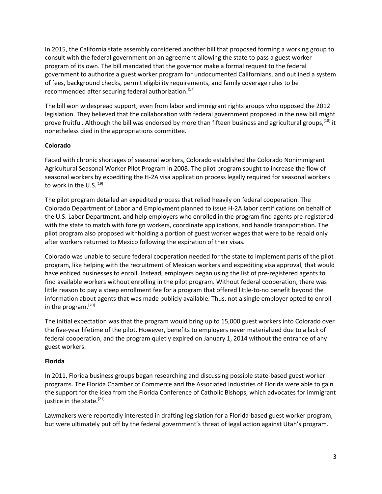In 2015, the California state assembly considered another bill that proposed forming a working group to consult with the federal government on an agreement allowing the state to pass a guest worker program of its own. The bill mandated that the governor make a formal request to the federal government to authorize a guest worker program for undocumented Californians, and outlined a system of fees, background checks, permit eligibility requirements, and family coverage rules to be recommended after securing federal authorization.<sup>[17]</sup>

The bill won widespread support, even from labor and immigrant rights groups who opposed the 2012 legislation. They believed that the collaboration with federal government proposed in the new bill might prove fruitful. Although the bill was endorsed by more than fifteen business and agricultural groups,<sup>[18]</sup> it nonetheless died in the appropriations committee.

#### **Colorado**

Faced with chronic shortages of seasonal workers, Colorado established the Colorado Nonimmigrant Agricultural Seasonal Worker Pilot Program in 2008. The pilot program sought to increase the flow of seasonal workers by expediting the H-2A visa application process legally required for seasonal workers to work in the U.S.<sup>[19]</sup>

The pilot program detailed an expedited process that relied heavily on federal cooperation. The Colorado Department of Labor and Employment planned to issue H-2A labor certifications on behalf of the U.S. Labor Department, and help employers who enrolled in the program find agents pre-registered with the state to match with foreign workers, coordinate applications, and handle transportation. The pilot program also proposed withholding a portion of guest worker wages that were to be repaid only after workers returned to Mexico following the expiration of their visas.

Colorado was unable to secure federal cooperation needed for the state to implement parts of the pilot program, like helping with the recruitment of Mexican workers and expediting visa approval, that would have enticed businesses to enroll. Instead, employers began using the list of pre-registered agents to find available workers without enrolling in the pilot program. Without federal cooperation, there was little reason to pay a steep enrollment fee for a program that offered little-to-no benefit beyond the information about agents that was made publicly available. Thus, not a single employer opted to enroll in the program. [20]

The initial expectation was that the program would bring up to 15,000 guest workers into Colorado over the five-year lifetime of the pilot. However, benefits to employers never materialized due to a lack of federal cooperation, and the program quietly expired on January 1, 2014 without the entrance of any guest workers.

#### **Florida**

In 2011, Florida business groups began researching and discussing possible state-based guest worker programs. The Florida Chamber of Commerce and the Associated Industries of Florida were able to gain the support for the idea from the Florida Conference of Catholic Bishops, which advocates for immigrant justice in the state.<sup>[21]</sup>

Lawmakers were reportedly interested in drafting legislation for a Florida-based guest worker program, but were ultimately put off by the federal government's threat of legal action against Utah's program.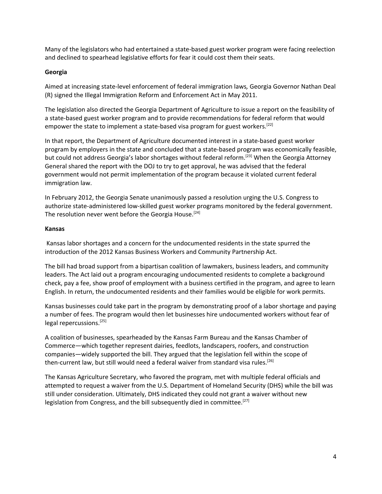Many of the legislators who had entertained a state-based guest worker program were facing reelection and declined to spearhead legislative efforts for fear it could cost them their seats.

#### **Georgia**

Aimed at increasing state-level enforcement of federal immigration laws*,* Georgia Governor Nathan Deal (R) signed the Illegal Immigration Reform and Enforcement Act in May 2011.

The legislation also directed the Georgia Department of Agriculture to issue a report on the feasibility of a state-based guest worker program and to provide recommendations for federal reform that would empower the state to implement a state-based visa program for guest workers.<sup>[22]</sup>

In that report, the Department of Agriculture documented interest in a state-based guest worker program by employers in the state and concluded that a state-based program was economically feasible, but could not address Georgia's labor shortages without federal reform.<sup>[23]</sup> When the Georgia Attorney General shared the report with the DOJ to try to get approval, he was advised that the federal government would not permit implementation of the program because it violated current federal immigration law.

In February 2012, the Georgia Senate unanimously passed a resolution urging the U.S. Congress to authorize state-administered low-skilled guest worker programs monitored by the federal government. The resolution never went before the Georgia House.<sup>[24]</sup>

#### **Kansas**

Kansas labor shortages and a concern for the undocumented residents in the state spurred the introduction of the 2012 Kansas Business Workers and Community Partnership Act.

The bill had broad support from a bipartisan coalition of lawmakers, business leaders, and community leaders. The Act laid out a program encouraging undocumented residents to complete a background check, pay a fee, show proof of employment with a business certified in the program, and agree to learn English. In return, the undocumented residents and their families would be eligible for work permits.

Kansas businesses could take part in the program by demonstrating proof of a labor shortage and paying a number of fees. The program would then let businesses hire undocumented workers without fear of legal repercussions.<sup>[25]</sup>

A coalition of businesses, spearheaded by the Kansas Farm Bureau and the Kansas Chamber of Commerce—which together represent dairies, feedlots, landscapers, roofers, and construction companies—widely supported the bill. They argued that the legislation fell within the scope of then-current law, but still would need a federal waiver from standard visa rules.<sup>[26]</sup>

The Kansas Agriculture Secretary, who favored the program, met with multiple federal officials and attempted to request a waiver from the U.S. Department of Homeland Security (DHS) while the bill was still under consideration. Ultimately, DHS indicated they could not grant a waiver without new legislation from Congress, and the bill subsequently died in committee.<sup>[27]</sup>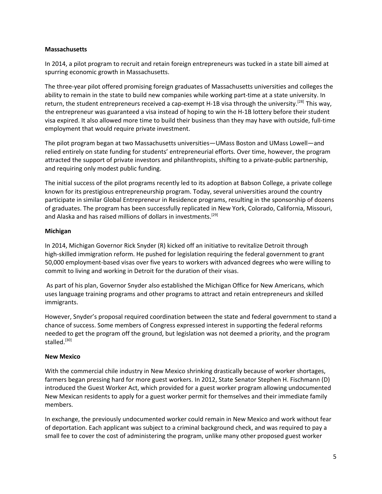#### **Massachusetts**

In 2014, a pilot program to recruit and retain foreign entrepreneurs was tucked in a state bill aimed at spurring economic growth in Massachusetts.

The three-year pilot offered promising foreign graduates of Massachusetts universities and colleges the ability to remain in the state to build new companies while working part-time at a state university. In return, the student entrepreneurs received a cap-exempt H-1B visa through the university.<sup>[28]</sup> This way, the entrepreneur was guaranteed a visa instead of hoping to win the H-1B lottery before their student visa expired. It also allowed more time to build their business than they may have with outside, full-time employment that would require private investment.

The pilot program began at two Massachusetts universities—UMass Boston and UMass Lowell—and relied entirely on state funding for students' entrepreneurial efforts. Over time, however, the program attracted the support of private investors and philanthropists, shifting to a private-public partnership, and requiring only modest public funding.

The initial success of the pilot programs recently led to its adoption at Babson College, a private college known for its prestigious entrepreneurship program. Today, several universities around the country participate in similar Global Entrepreneur in Residence programs, resulting in the sponsorship of dozens of graduates. The program has been successfully replicated in New York, Colorado, California, Missouri, and Alaska and has raised millions of dollars in investments.<sup>[29]</sup>

#### **Michigan**

In 2014, Michigan Governor Rick Snyder (R) kicked off an initiative to revitalize Detroit through high-skilled immigration reform. He pushed for legislation requiring the federal government to grant 50,000 employment-based visas over five years to workers with advanced degrees who were willing to commit to living and working in Detroit for the duration of their visas.

As part of his plan, Governor Snyder also established the Michigan Office for New Americans, which uses language training programs and other programs to attract and retain entrepreneurs and skilled immigrants.

However, Snyder's proposal required coordination between the state and federal government to stand a chance of success. Some members of Congress expressed interest in supporting the federal reforms needed to get the program off the ground, but legislation was not deemed a priority, and the program stalled.<sup>[30]</sup>

#### **New Mexico**

With the commercial chile industry in New Mexico shrinking drastically because of worker shortages, farmers began pressing hard for more guest workers. In 2012, State Senator Stephen H. Fischmann (D) introduced the Guest Worker Act, which provided for a guest worker program allowing undocumented New Mexican residents to apply for a guest worker permit for themselves and their immediate family members.

In exchange, the previously undocumented worker could remain in New Mexico and work without fear of deportation. Each applicant was subject to a criminal background check, and was required to pay a small fee to cover the cost of administering the program, unlike many other proposed guest worker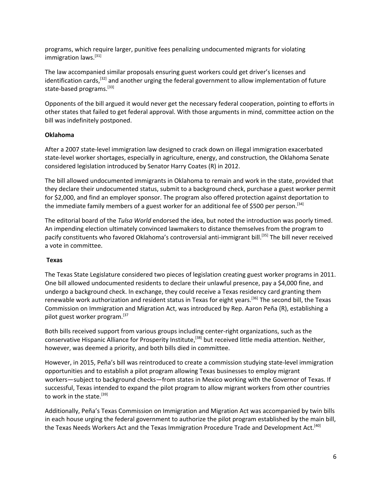programs, which require larger, punitive fees penalizing undocumented migrants for violating immigration laws.<sup>[31]</sup>

The law accompanied similar proposals ensuring guest workers could get driver's licenses and identification cards,<sup>[32]</sup> and another urging the federal government to allow implementation of future state-based programs.<sup>[33]</sup>

Opponents of the bill argued it would never get the necessary federal cooperation, pointing to efforts in other states that failed to get federal approval. With those arguments in mind, committee action on the bill was indefinitely postponed.

#### **Oklahoma**

After a 2007 state-level immigration law designed to crack down on illegal immigration exacerbated state-level worker shortages, especially in agriculture, energy, and construction, the Oklahoma Senate considered legislation introduced by Senator Harry Coates (R) in 2012.

The bill allowed undocumented immigrants in Oklahoma to remain and work in the state, provided that they declare their undocumented status, submit to a background check, purchase a guest worker permit for \$2,000, and find an employer sponsor. The program also offered protection against deportation to the immediate family members of a guest worker for an additional fee of \$500 per person.<sup>[34]</sup>

The editorial board of the *Tulsa World* endorsed the idea, but noted the introduction was poorly timed. An impending election ultimately convinced lawmakers to distance themselves from the program to pacify constituents who favored Oklahoma's controversial anti-immigrant bill.<sup>[35]</sup> The bill never received a vote in committee.

#### **Texas**

The Texas State Legislature considered two pieces of legislation creating guest worker programs in 2011. One bill allowed undocumented residents to declare their unlawful presence, pay a \$4,000 fine, and undergo a background check. In exchange, they could receive a Texas residency card granting them renewable work authorization and resident status in Texas for eight years.<sup>[36]</sup> The second bill, the Texas Commission on Immigration and Migration Act, was introduced by Rep. Aaron Peña (R), establishing a pilot guest worker program. [37

Both bills received support from various groups including center-right organizations, such as the conservative Hispanic Alliance for Prosperity Institute,<sup>[38]</sup> but received little media attention. Neither, however, was deemed a priority, and both bills died in committee.

However, in 2015, Peña's bill was reintroduced to create a commission studying state-level immigration opportunities and to establish a pilot program allowing Texas businesses to employ migrant workers—subject to background checks—from states in Mexico working with the Governor of Texas. If successful, Texas intended to expand the pilot program to allow migrant workers from other countries to work in the state.<sup>[39]</sup>

Additionally, Peña's Texas Commission on Immigration and Migration Act was accompanied by twin bills in each house urging the federal government to authorize the pilot program established by the main bill, the Texas Needs Workers Act and the Texas Immigration Procedure Trade and Development Act.<sup>[40]</sup>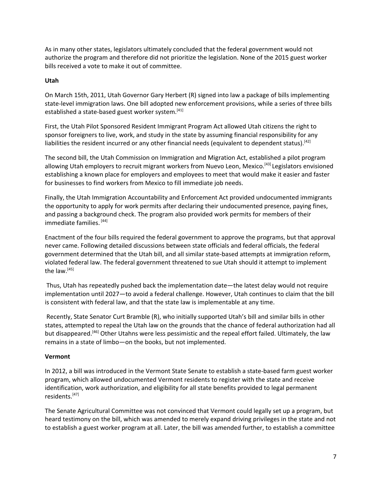As in many other states, legislators ultimately concluded that the federal government would not authorize the program and therefore did not prioritize the legislation. None of the 2015 guest worker bills received a vote to make it out of committee.

#### **Utah**

On March 15th, 2011, Utah Governor Gary Herbert (R) signed into law a package of bills implementing state-level immigration laws. One bill adopted new enforcement provisions, while a series of three bills established a state-based guest worker system.<sup>[41]</sup>

First, the Utah Pilot Sponsored Resident Immigrant Program Act allowed Utah citizens the right to sponsor foreigners to live, work, and study in the state by assuming financial responsibility for any liabilities the resident incurred or any other financial needs (equivalent to dependent status).<sup>[42]</sup>

The second bill, the Utah Commission on Immigration and Migration Act, established a pilot program allowing Utah employers to recruit migrant workers from Nuevo Leon, Mexico.<sup>[43]</sup> Legislators envisioned establishing a known place for employers and employees to meet that would make it easier and faster for businesses to find workers from Mexico to fill immediate job needs.

Finally, the Utah Immigration Accountability and Enforcement Act provided undocumented immigrants the opportunity to apply for work permits after declaring their undocumented presence, paying fines, and passing a background check. The program also provided work permits for members of their immediate families. [44]

Enactment of the four bills required the federal government to approve the programs, but that approval never came. Following detailed discussions between state officials and federal officials, the federal government determined that the Utah bill, and all similar state-based attempts at immigration reform, violated federal law. The federal government threatened to sue Utah should it attempt to implement the law.<sup>[45]</sup>

Thus, Utah has repeatedly pushed back the implementation date—the latest delay would not require implementation until 2027—to avoid a federal challenge. However, Utah continues to claim that the bill is consistent with federal law, and that the state law is implementable at any time.

Recently, State Senator Curt Bramble (R), who initially supported Utah's bill and similar bills in other states, attempted to repeal the Utah law on the grounds that the chance of federal authorization had all but disappeared.<sup>[46]</sup> Other Utahns were less pessimistic and the repeal effort failed. Ultimately, the law remains in a state of limbo—on the books, but not implemented.

#### **Vermont**

In 2012, a bill was introduced in the Vermont State Senate to establish a state-based farm guest worker program, which allowed undocumented Vermont residents to register with the state and receive identification, work authorization, and eligibility for all state benefits provided to legal permanent residents. [47]

The Senate Agricultural Committee was not convinced that Vermont could legally set up a program, but heard testimony on the bill, which was amended to merely expand driving privileges in the state and not to establish a guest worker program at all. Later, the bill was amended further, to establish a committee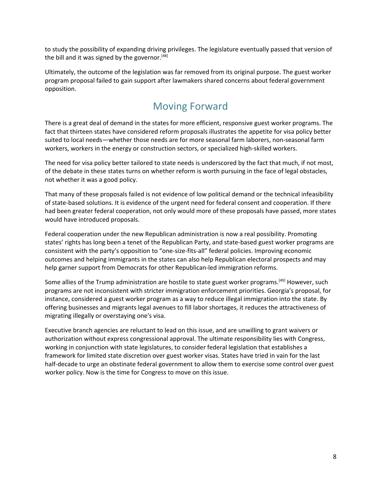to study the possibility of expanding driving privileges. The legislature eventually passed that version of the bill and it was signed by the governor.<sup>[48]</sup>

Ultimately, the outcome of the legislation was far removed from its original purpose. The guest worker program proposal failed to gain support after lawmakers shared concerns about federal government opposition.

### Moving Forward

There is a great deal of demand in the states for more efficient, responsive guest worker programs. The fact that thirteen states have considered reform proposals illustrates the appetite for visa policy better suited to local needs—whether those needs are for more seasonal farm laborers, non-seasonal farm workers, workers in the energy or construction sectors, or specialized high-skilled workers.

The need for visa policy better tailored to state needs is underscored by the fact that much, if not most, of the debate in these states turns on whether reform is worth pursuing in the face of legal obstacles, not whether it was a good policy.

That many of these proposals failed is not evidence of low political demand or the technical infeasibility of state-based solutions. It is evidence of the urgent need for federal consent and cooperation. If there had been greater federal cooperation, not only would more of these proposals have passed, more states would have introduced proposals.

Federal cooperation under the new Republican administration is now a real possibility. Promoting states' rights has long been a tenet of the Republican Party, and state-based guest worker programs are consistent with the party's opposition to "one-size-fits-all" federal policies. Improving economic outcomes and helping immigrants in the states can also help Republican electoral prospects and may help garner support from Democrats for other Republican-led immigration reforms.

Some allies of the Trump administration are hostile to state guest worker programs.<sup>[49]</sup> However, such programs are not inconsistent with stricter immigration enforcement priorities. Georgia's proposal, for instance, considered a guest worker program as a way to reduce illegal immigration into the state. By offering businesses and migrants legal avenues to fill labor shortages, it reduces the attractiveness of migrating illegally or overstaying one's visa.

Executive branch agencies are reluctant to lead on this issue, and are unwilling to grant waivers or authorization without express congressional approval. The ultimate responsibility lies with Congress, working in conjunction with state legislatures, to consider federal legislation that establishes a framework for limited state discretion over guest worker visas. States have tried in vain for the last half-decade to urge an obstinate federal government to allow them to exercise some control over guest worker policy. Now is the time for Congress to move on this issue.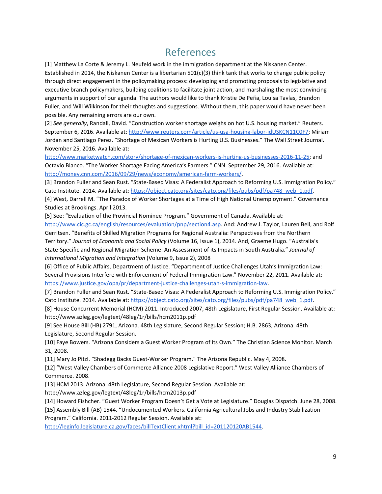### References

[1] Matthew La Corte & Jeremy L. Neufeld work in the immigration department at the Niskanen Center. Established in 2014, the Niskanen Center is a libertarian 501(c)(3) think tank that works to change public policy through direct engagement in the policymaking process: developing and promoting proposals to legislative and executive branch policymakers, building coalitions to facilitate joint action, and marshaling the most convincing arguments in support of our agenda. The authors would like to thank Kristie De Peña, Louisa Tavlas, Brandon Fuller, and Will Wilkinson for their thoughts and suggestions. Without them, this paper would have never been possible. Any remaining errors are our own.

[2] *See generally*, Randall, David. "Construction worker shortage weighs on hot U.S. housing market." Reuters. September 6, 2016. Available at: [http://www.reuters.com/article/us-usa-housing-labor-idUSKCN11C0F7;](http://www.reuters.com/article/us-usa-housing-labor-idUSKCN11C0F7) Miriam Jordan and Santiago Perez. "Shortage of Mexican Workers is Hurting U.S. Businesses." The Wall Street Journal. November 25, 2016. Available at[:](http://www.marketwatch.com/story/shortage-of-mexican-workers-is-hurting-us-businesses-2016-11-25)

<http://www.marketwatch.com/story/shortage-of-mexican-workers-is-hurting-us-businesses-2016-11-25>; and Octavio Blanco. "The Worker Shortage Facing America's Farmers." CNN. September 29, 2016. Available at[:](http://money.cnn.com/2016/09/29/news/economy/american-farm-workers/) [http://money.cnn.com/2016/09/29/news/economy/american-farm-workers/.](http://money.cnn.com/2016/09/29/news/economy/american-farm-workers/)

[3] Brandon Fuller and Sean Rust. "State-Based Visas: A Federalist Approach to Reforming U.S. Immigration Policy." Cato Institute. 2014. Available at: [https://object.cato.org/sites/cato.org/files/pubs/pdf/pa748\\_web\\_1.pdf.](https://object.cato.org/sites/cato.org/files/pubs/pdf/pa748_web_1.pdf)

[4] West, Darrell M. "The Paradox of Worker Shortages at a Time of High National Unemployment." Governance Studies at Brookings. April 2013.

[5] See: "Evaluation of the Provincial Nominee Program." Government of Canada. Available at[:](http://www.cic.gc.ca/english/resources/evaluation/pnp/section4.asp)

[http://www.cic.gc.ca/english/resources/evaluation/pnp/section4.asp.](http://www.cic.gc.ca/english/resources/evaluation/pnp/section4.asp) And: Andrew J. Taylor, Lauren Bell, and Rolf Gerritsen. "Benefits of Skilled Migration Programs for Regional Australia: Perspectives from the Northern Territory." *Journal of Economic and Social Policy* (Volume 16, Issue 1), 2014. And, Graeme Hugo. "Australia's State-Specific and Regional Migration Scheme: An Assessment of its Impacts in South Australia." *Journal of International Migration and Integration* (Volume 9, Issue 2), 2008

[6] Office of Public Affairs, Department of Justice. "Department of Justice Challenges Utah's Immigration Law: Several Provisions Interfere with Enforcement of Federal Immigration Law." November 22, 2011. Available at[:](https://www.justice.gov/opa/pr/department-justice-challenges-utah-s-immigration-law) [https://www.justice.gov/opa/pr/department-justice-challenges-utah-s-immigration-law.](https://www.justice.gov/opa/pr/department-justice-challenges-utah-s-immigration-law)

[7] Brandon Fuller and Sean Rust. "State-Based Visas: A Federalist Approach to Reforming U.S. Immigration Policy." Cato Institute. 2014. Available at: [https://object.cato.org/sites/cato.org/files/pubs/pdf/pa748\\_web\\_1.pdf.](https://object.cato.org/sites/cato.org/files/pubs/pdf/pa748_web_1.pdf)

[8] House Concurrent Memorial (HCM) 2011. Introduced 2007, 48th Legislature, First Regular Session. Available at: http://www.azleg.gov/legtext/48leg/1r/bills/hcm2011p.pdf

[9] See House Bill (HB) 2791, Arizona. 48th Legislature, Second Regular Session; H.B. 2863, Arizona. 48th Legislature, Second Regular Session.

[10] Faye Bowers. "Arizona Considers a Guest Worker Program of its Own." The Christian Science Monitor. March 31, 2008.

[11] Mary Jo Pitzl. "Shadegg Backs Guest-Worker Program." The Arizona Republic. May 4, 2008.

[12] "West Valley Chambers of Commerce Alliance 2008 Legislative Report." West Valley Alliance Chambers of Commerce. 2008.

[13] HCM 2013. Arizona. 48th Legislature, Second Regular Session. Available at:

http://www.azleg.gov/legtext/48leg/1r/bills/hcm2013p.pdf

[14] Howard Fishcher. "Guest Worker Program Doesn't Get a Vote at Legislature." Douglas Dispatch. June 28, 2008.

[15] Assembly Bill (AB) 1544. "Undocumented Workers. California Agricultural Jobs and Industry Stabilization

Program." California. 2011-2012 Regular Session. Available at[:](http://leginfo.legislature.ca.gov/faces/billTextClient.xhtml?bill_id=201120120AB1544)

[http://leginfo.legislature.ca.gov/faces/billTextClient.xhtml?bill\\_id=201120120AB1544.](http://leginfo.legislature.ca.gov/faces/billTextClient.xhtml?bill_id=201120120AB1544)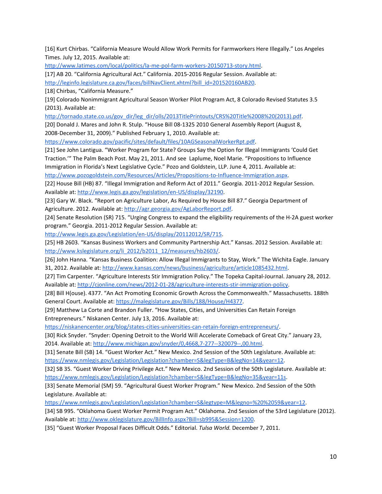[16] Kurt Chirbas. "California Measure Would Allow Work Permits for Farmworkers Here Illegally." Los Angeles Times. July 12, 2015. Available at[:](http://www.latimes.com/local/politics/la-me-pol-farm-workers-20150713-story.html)

<http://www.latimes.com/local/politics/la-me-pol-farm-workers-20150713-story.html>.

[17] AB 20. "California Agricultural Act." California. 2015-2016 Regular Session. Available at[:](http://leginfo.legislature.ca.gov/faces/billNavClient.xhtml?bill_id=201520160AB20)

[http://leginfo.legislature.ca.gov/faces/billNavClient.xhtml?bill\\_id=201520160AB20.](http://leginfo.legislature.ca.gov/faces/billNavClient.xhtml?bill_id=201520160AB20)

[18] Chirbas, "California Measure."

[19] Colorado Nonimmigrant Agricultural Season Worker Pilot Program Act, 8 Colorado Revised Statutes 3.5 (2013). Available at[:](http://tornado.state.co.us/gov_dir/leg_dir/olls/2013TitlePrintouts/CRS%20Title%2008%20(2013).pdf)

[http://tornado.state.co.us/gov\\_dir/leg\\_dir/olls/2013TitlePrintouts/CRS%20Title%2008%20\(2013\).pdf.](http://tornado.state.co.us/gov_dir/leg_dir/olls/2013TitlePrintouts/CRS%20Title%2008%20(2013).pdf)

[20] Donald J. Mares and John R. Stulp. "House Bill 08-1325 2010 General Assembly Report (August 8, 2008-December 31, 2009)." Published February 1, 2010. Available at[:](https://www.colorado.gov/pacific/sites/default/files/10AGSeasonalWorkerRpt.pdf)

[https://www.colorado.gov/pacific/sites/default/files/10AGSeasonalWorkerRpt.pdf.](https://www.colorado.gov/pacific/sites/default/files/10AGSeasonalWorkerRpt.pdf)

[21] See John Lantigua. "Worker Program for State? Groups Say the Option for Illegal Immigrants 'Could Get Traction.'" The Palm Beach Post. May 21, 2011. And see Laplume, Noel Marie. "Propositions to Influence Immigration in Florida's Next Legislative Cycle." Pozo and Goldstein, LLP. June 4, 2011. Available at: [http://www.pozogoldstein.com/Resources/Articles/Propositions-to-Influence-Immigration.aspx.](http://www.pozogoldstein.com/Resources/Articles/Propositions-to-Influence-Immigration.aspx)

[22] House Bill (HB) 87. "Illegal Immigration and Reform Act of 2011." Georgia. 2011-2012 Regular Session. Available at[:](http://www.legis.ga.gov/legislation/en-US/display/32190) [http://www.legis.ga.gov/legislation/en-US/display/32190.](http://www.legis.ga.gov/legislation/en-US/display/32190)

[23] Gary W. Black. "Report on Agriculture Labor, As Required by House Bill 87." Georgia Department of Agriculture. 2012. Available at[:](http://agr.georgia.gov/AgLaborReport.pdf) [http://agr.georgia.gov/AgLaborReport.pdf.](http://agr.georgia.gov/AgLaborReport.pdf)

[24] Senate Resolution (SR) 715. "Urging Congress to expand the eligibility requirements of the H-2A guest worker program." Georgia. 2011-2012 Regular Session. Available at[:](http://www.legis.ga.gov/Legislation/en-US/display/20112012/SR/715)

[http://www.legis.ga.gov/Legislation/en-US/display/20112012/SR/715.](http://www.legis.ga.gov/Legislation/en-US/display/20112012/SR/715)

[25] HB 2603. "Kansas Business Workers and Community Partnership Act." Kansas. 2012 Session. Available at: [http://www.kslegislature.org/li\\_2012/b2011\\_12/measures/hb2603/](http://www.kslegislature.org/li_2012/b2011_12/measures/hb2603/).

[26] John Hanna. "Kansas Business Coalition: Allow Illegal Immigrants to Stay, Work." The Wichita Eagle. January 31, 2012. Available at[:](http://www.kansas.com/news/business/agriculture/article1085432.html) [http://www.kansas.com/news/business/agriculture/article1085432.html.](http://www.kansas.com/news/business/agriculture/article1085432.html)

[27] Tim Carpenter. "Agriculture Interests Stir Immigration Policy." The Topeka Capital-Journal. January 28, 2012. Available at[:](http://cjonline.com/news/2012-01-28/agriculture-interests-stir-immigration-policy) [http://cjonline.com/news/2012-01-28/agriculture-interests-stir-immigration-policy.](http://cjonline.com/news/2012-01-28/agriculture-interests-stir-immigration-policy)

[28] Bill H(ouse). 4377. "An Act Promoting Economic Growth Across the Commonwealth." Massachusetts. 188th General Court. Available at: [https://malegislature.gov/Bills/188/House/H4377.](https://malegislature.gov/Bills/188/House/H4377)

[29] Matthew La Corte and Brandon Fuller. "How States, Cities, and Universities Can Retain Foreign Entrepreneurs." Niskanen Center. July 13, 2016. Available at:

[https://niskanencenter.org/blog/states-cities-universities-can-retain-foreign-entrepreneurs/.](https://niskanencenter.org/blog/states-cities-universities-can-retain-foreign-entrepreneurs/)

[30] Rick Snyder. "Snyder: Opening Detroit to the World Will Accelerate Comeback of Great City." January 23, 2014. Available at: [http://www.michigan.gov/snyder/0,4668,7-277--320079--,00.html.](http://www.michigan.gov/snyder/0,4668,7-277--320079--,00.html)

[31] Senate Bill (SB) 14. "Guest Worker Act." New Mexico. 2nd Session of the 50th Legislature. Available at[:](https://www.nmlegis.gov/Legislation/Legislation?chamber=S&legType=B&legNo=14&year=12) [https://www.nmlegis.gov/Legislation/Legislation?chamber=S&legType=B&legNo=14&year=12.](https://www.nmlegis.gov/Legislation/Legislation?chamber=S&legType=B&legNo=14&year=12)

[32] SB 35. "Guest Worker Driving Privilege Act." New Mexico. 2nd Session of the 50th Legislature. Available at[:](https://www.nmlegis.gov/Legislation/Legislation?chamber=S&legType=B&legNo=35&year=11s) [https://www.nmlegis.gov/Legislation/Legislation?chamber=S&legType=B&legNo=35&year=11s.](https://www.nmlegis.gov/Legislation/Legislation?chamber=S&legType=B&legNo=35&year=11s)

[33] Senate Memorial (SM) 59. "Agricultural Guest Worker Program." New Mexico. 2nd Session of the 50th Legislature. Available at[:](https://www.nmlegis.gov/Legislation/Legislation?chamber=S&legtype=M&legno=%20%2059&year=12)

[https://www.nmlegis.gov/Legislation/Legislation?chamber=S&legtype=M&legno=%20%2059&year=12.](https://www.nmlegis.gov/Legislation/Legislation?chamber=S&legtype=M&legno=%20%2059&year=12)

[34] SB 995. "Oklahoma Guest Worker Permit Program Act." Oklahoma. 2nd Session of the 53rd Legislature (2012). Available at[:](http://www.oklegislature.gov/BillInfo.aspx?Bill=sb995&Session=1200) [http://www.oklegislature.gov/BillInfo.aspx?Bill=sb995&Session=1200.](http://www.oklegislature.gov/BillInfo.aspx?Bill=sb995&Session=1200)

[35] "Guest Worker Proposal Faces Difficult Odds." Editorial. *Tulsa World.* December 7, 2011.